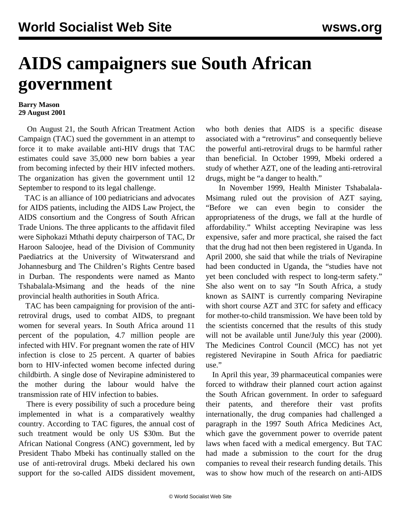## **AIDS campaigners sue South African government**

## **Barry Mason 29 August 2001**

 On August 21, the South African Treatment Action Campaign (TAC) sued the government in an attempt to force it to make available anti-HIV drugs that TAC estimates could save 35,000 new born babies a year from becoming infected by their HIV infected mothers. The organization has given the government until 12 September to respond to its legal challenge.

 TAC is an alliance of 100 pediatricians and advocates for AIDS patients, including the AIDS Law Project, the AIDS consortium and the Congress of South African Trade Unions. The three applicants to the affidavit filed were Siphokazi Mthathi deputy chairperson of TAC, Dr Haroon Saloojee, head of the Division of Community Paediatrics at the University of Witwatersrand and Johannesburg and The Children's Rights Centre based in Durban. The respondents were named as Manto Tshabalala-Msimang and the heads of the nine provincial health authorities in South Africa.

 TAC has been campaigning for provision of the antiretroviral drugs, used to combat AIDS, to pregnant women for several years. In South Africa around 11 percent of the population, 4.7 million people are infected with HIV. For pregnant women the rate of HIV infection is close to 25 percent. A quarter of babies born to HIV-infected women become infected during childbirth. A single dose of Nevirapine administered to the mother during the labour would halve the transmission rate of HIV infection to babies.

 There is every possibility of such a procedure being implemented in what is a comparatively wealthy country. According to TAC figures, the annual cost of such treatment would be only US \$30m. But the African National Congress (ANC) government, led by President Thabo Mbeki has continually stalled on the use of anti-retroviral drugs. Mbeki declared his own support for the so-called AIDS dissident movement, who both denies that AIDS is a specific disease associated with a "retrovirus" and consequently believe the powerful anti-retroviral drugs to be harmful rather than beneficial. In October 1999, Mbeki ordered a study of whether AZT, one of the leading anti-retroviral drugs, might be "a danger to health."

 In November 1999, Health Minister Tshabalala-Msimang ruled out the provision of AZT saying, "Before we can even begin to consider the appropriateness of the drugs, we fall at the hurdle of affordability." Whilst accepting Nevirapine was less expensive, safer and more practical, she raised the fact that the drug had not then been registered in Uganda. In April 2000, she said that while the trials of Nevirapine had been conducted in Uganda, the "studies have not yet been concluded with respect to long-term safety." She also went on to say "In South Africa, a study known as SAINT is currently comparing Nevirapine with short course AZT and 3TC for safety and efficacy for mother-to-child transmission. We have been told by the scientists concerned that the results of this study will not be available until June/July this year (2000). The Medicines Control Council (MCC) has not yet registered Nevirapine in South Africa for paediatric use."

 In April this year, 39 pharmaceutical companies were forced to withdraw their planned court action against the South African government. In order to safeguard their patents, and therefore their vast profits internationally, the drug companies had challenged a paragraph in the 1997 South Africa Medicines Act, which gave the government power to override patent laws when faced with a medical emergency. But TAC had made a submission to the court for the drug companies to reveal their research funding details. This was to show how much of the research on anti-AIDS